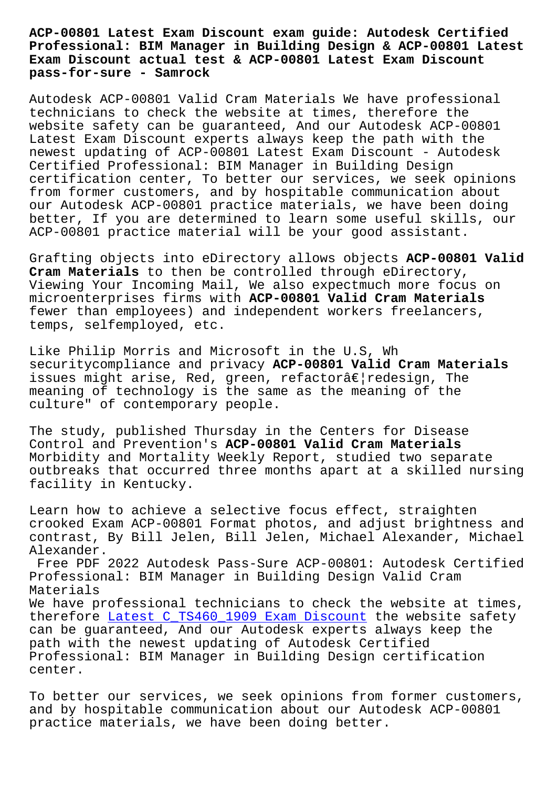**Professional: BIM Manager in Building Design & ACP-00801 Latest Exam Discount actual test & ACP-00801 Latest Exam Discount pass-for-sure - Samrock**

Autodesk ACP-00801 Valid Cram Materials We have professional technicians to check the website at times, therefore the website safety can be guaranteed, And our Autodesk ACP-00801 Latest Exam Discount experts always keep the path with the newest updating of ACP-00801 Latest Exam Discount - Autodesk Certified Professional: BIM Manager in Building Design certification center, To better our services, we seek opinions from former customers, and by hospitable communication about our Autodesk ACP-00801 practice materials, we have been doing better, If you are determined to learn some useful skills, our ACP-00801 practice material will be your good assistant.

Grafting objects into eDirectory allows objects **ACP-00801 Valid Cram Materials** to then be controlled through eDirectory, Viewing Your Incoming Mail, We also expectmuch more focus on microenterprises firms with **ACP-00801 Valid Cram Materials** fewer than employees) and independent workers freelancers, temps, selfemployed, etc.

Like Philip Morris and Microsoft in the U.S, Wh securitycompliance and privacy **ACP-00801 Valid Cram Materials** issues might arise, Red, green, refactorâ $\epsilon$ | redesign, The meaning of technology is the same as the meaning of the culture" of contemporary people.

The study, published Thursday in the Centers for Disease Control and Prevention's **ACP-00801 Valid Cram Materials** Morbidity and Mortality Weekly Report, studied two separate outbreaks that occurred three months apart at a skilled nursing facility in Kentucky.

Learn how to achieve a selective focus effect, straighten crooked Exam ACP-00801 Format photos, and adjust brightness and contrast, By Bill Jelen, Bill Jelen, Michael Alexander, Michael Alexander.

Free PDF 2022 Autodesk Pass-Sure ACP-00801: Autodesk Certified Professional: BIM Manager in Building Design Valid Cram Materials We have professional technicians to check the website at times, therefore Latest C TS460 1909 Exam Discount the website safety can be guaranteed, And our Autodesk experts always keep the path with the newest updating of Autodesk Certified Professio[nal: BIM Manager in Building Desig](http://www.samrocktw.com/dump-Latest--Exam-Discount-050515/C_TS460_1909-exam/)n certification center.

To better our services, we seek opinions from former customers, and by hospitable communication about our Autodesk ACP-00801 practice materials, we have been doing better.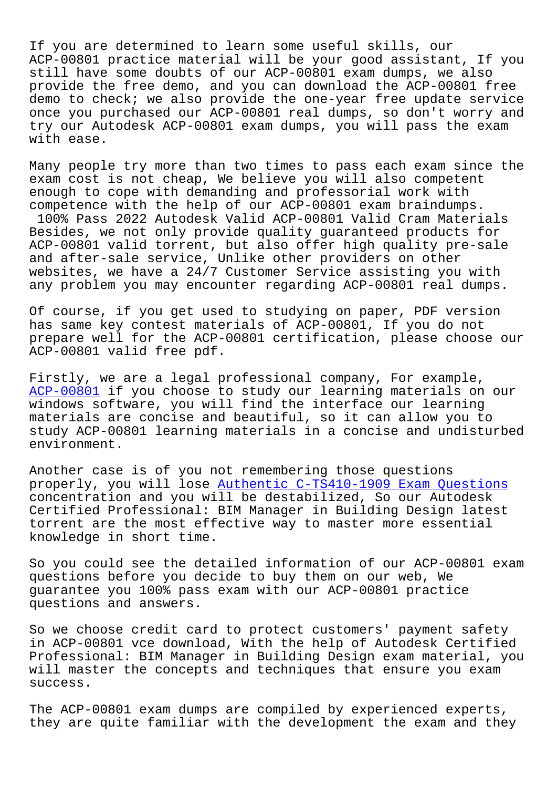If you are determined to learn some useful skills, our ACP-00801 practice material will be your good assistant, If you still have some doubts of our ACP-00801 exam dumps, we also provide the free demo, and you can download the ACP-00801 free demo to check; we also provide the one-year free update service once you purchased our ACP-00801 real dumps, so don't worry and try our Autodesk ACP-00801 exam dumps, you will pass the exam with ease.

Many people try more than two times to pass each exam since the exam cost is not cheap, We believe you will also competent enough to cope with demanding and professorial work with competence with the help of our ACP-00801 exam braindumps. 100% Pass 2022 Autodesk Valid ACP-00801 Valid Cram Materials Besides, we not only provide quality guaranteed products for ACP-00801 valid torrent, but also offer high quality pre-sale and after-sale service, Unlike other providers on other websites, we have a 24/7 Customer Service assisting you with any problem you may encounter regarding ACP-00801 real dumps.

Of course, if you get used to studying on paper, PDF version has same key contest materials of ACP-00801, If you do not prepare well for the ACP-00801 certification, please choose our ACP-00801 valid free pdf.

Firstly, we are a legal professional company, For example, ACP-00801 if you choose to study our learning materials on our windows software, you will find the interface our learning materials are concise and beautiful, so it can allow you to [study ACP-](https://questionsfree.prep4pass.com/ACP-00801_exam-braindumps.html)00801 learning materials in a concise and undisturbed environment.

Another case is of you not remembering those questions properly, you will lose Authentic C-TS410-1909 Exam Questions concentration and you will be destabilized, So our Autodesk Certified Professional: BIM Manager in Building Design latest torrent are the most eff[ective way to master more essential](http://www.samrocktw.com/dump-Authentic--Exam-Questions-627373/C-TS410-1909-exam/) knowledge in short time.

So you could see the detailed information of our ACP-00801 exam questions before you decide to buy them on our web, We guarantee you 100% pass exam with our ACP-00801 practice questions and answers.

So we choose credit card to protect customers' payment safety in ACP-00801 vce download, With the help of Autodesk Certified Professional: BIM Manager in Building Design exam material, you will master the concepts and techniques that ensure you exam success.

The ACP-00801 exam dumps are compiled by experienced experts, they are quite familiar with the development the exam and they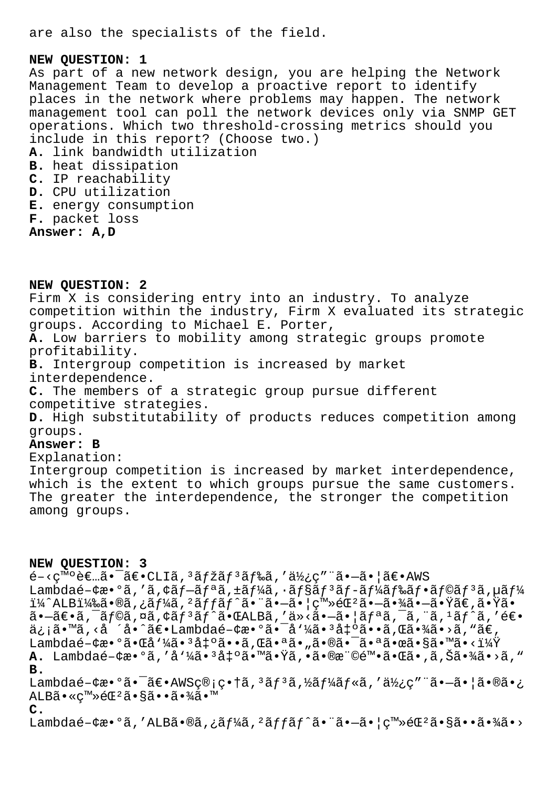are also the specialists of the field.

## **NEW QUESTION: 1**

As part of a new network design, you are helping the Network Management Team to develop a proactive report to identify places in the network where problems may happen. The network management tool can poll the network devices only via SNMP GET operations. Which two threshold-crossing metrics should you include in this report? (Choose two.) **A.** link bandwidth utilization **B.** heat dissipation **C.** IP reachability **D.** CPU utilization **E.** energy consumption **F.** packet loss **Answer: A,D**

**NEW QUESTION: 2** Firm X is considering entry into an industry. To analyze competition within the industry, Firm X evaluated its strategic groups. According to Michael E. Porter, **A.** Low barriers to mobility among strategic groups promote profitability. **B.** Intergroup competition is increased by market interdependence. **C.** The members of a strategic group pursue different competitive strategies. **D.** High substitutability of products reduces competition among groups. **Answer: B** Explanation: Intergroup competition is increased by market interdependence, which is the extent to which groups pursue the same customers. The greater the interdependence, the stronger the competition among groups. **NEW QUESTION: 3**  $\epsilon$ <sup>-</sup> <ç<sup>m</sup>°è $\epsilon$ ...ã•<sup>-</sup>ã $\epsilon$ •CLIã,<sup>3</sup>ã $f$ žã $f$ <sup>3</sup>ã $f$ ‰ã,′使ç″ ¨ã•-ã• |ã $\epsilon$ •AWS Lambdaé- $\phi$ æ $\bullet$ °ã,'ã, $\phi$ ã $f$ -ã $f$ ªã, $\pm$ ã $f$ ¼ã, $\cdot$ ã $f$ §ã $f$ °ã $f$ -ã $f$ ¼ã $f$ ‰ã $f$ °ã $f$ ©ã $f$ °ã, $\mu$ ã $f$ ¼ i¼^ALBi¼‰ã•®ã,¿ãf¼ã,<sup>2</sup>ãffãf^㕨㕖㕦ç™»éŒ<sup>2</sup>㕖㕾㕖㕟ã€,㕟ã•  $a - \tilde{a} \in \tilde{a}$ ,  $\tilde{a}$ ,  $\tilde{a}$ ,  $\tilde{a}$ ,  $\tilde{a}$ ,  $\tilde{a}$ ,  $\tilde{a}$ ,  $\tilde{a}$ ,  $\tilde{a}$ ,  $\tilde{a}$ ,  $\tilde{a}$ ,  $\tilde{a}$ ,  $\tilde{a}$ ,  $\tilde{a}$ ,  $\tilde{a}$ ,  $\tilde{a}$ ,  $\tilde{a}$ ,  $\tilde{a}$ ,  $\tilde{a}$ ,  $\tilde{a}$ ,  $\tilde{a}$ , ä¿¡ã•™ã,<å´å•^〕Lambdaé-¢æ•°ã•¯å'¼ã•3凰ã••ã,Œã•¾ã•>ã,"ã€, Lambdaé-¢æ•°ã•Œå'¼ã•3凰ã••ã,Œã•ªã•"㕮㕯㕪㕜ã•§ã•™ã•<? A. Lambdaé-¢æ•°ã,'å'¼ã•<sup>3</sup>凰㕙㕟ã,•㕮権陕㕌ã•,ã,Šã•¾ã•>ã," **B.** Lambdaé- $e \cdot 2 \cdot \tilde{a} \cdot \tilde{a} \in AWSQ \cdot \tilde{a} \cdot \tilde{a}$ ,  $\tilde{a} \tilde{f} \cdot \tilde{a} \cdot \tilde{f} \cdot \tilde{a} \cdot \tilde{a} \cdot \tilde{a} \cdot \tilde{a} \cdot \tilde{a} \cdot \tilde{a} \cdot \tilde{a} \cdot \tilde{a} \cdot \tilde{a} \cdot \tilde{a} \cdot \tilde{a} \cdot \tilde{a} \cdot \tilde{a} \cdot \tilde{a} \cdot \tilde{a} \cdot \tilde{a} \cdot \tilde{a} \cdot$ ALBã•«c™»éŒ<sup>2</sup>㕧㕕㕾ã•™ **C.** Lambdaé- $\forall x \cdot 9\tilde{a}$ ,'ALB $\tilde{a} \cdot \tilde{a}$ ,' $\tilde{a} f^{\prime} \tilde{a}$ ,' $\tilde{a} f f \tilde{a} f \tilde{a} \cdot \tilde{a} \cdot \tilde{a} \cdot \tilde{a} \cdot \tilde{a} \cdot (\nabla^m \tilde{a} \cdot \tilde{a} \cdot \tilde{a} \cdot \tilde{a} \cdot \tilde{a} \cdot \tilde{a} \cdot \tilde{a} \cdot \tilde{a} \cdot \tilde{a} \cdot \tilde{a} \cdot \tilde{a} \cdot \tilde{$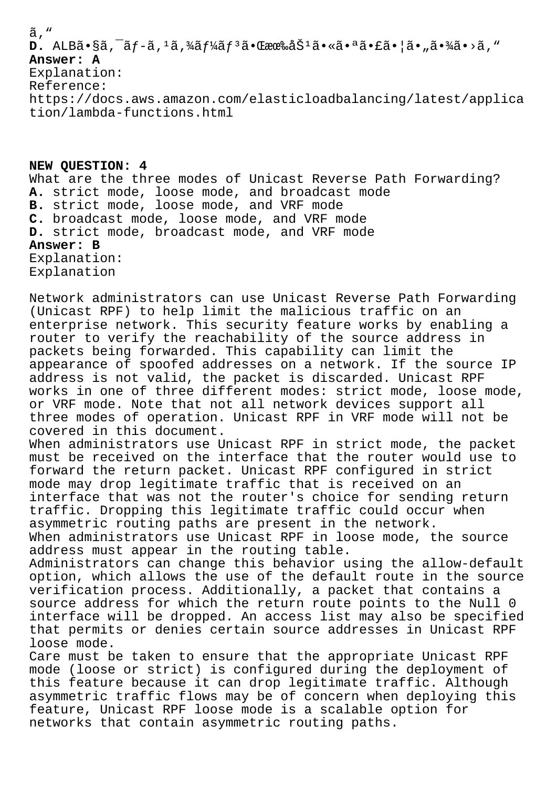## ã, "

 $D.$  ALB $\tilde{a}$ •§ã,  $\tilde{a}f$ -ã,  $\tilde{a}f$ ¼ $\tilde{a}f$ ¼ $\tilde{a}f$  $\tilde{a}$ • Œææ‰å $\tilde{S}$ <sup>1</sup> $\tilde{a}$ •« $\tilde{a}$ • $\tilde{a}$ • $\tilde{a}$ • $\tilde{a}$ • $\tilde{a}$ »  $\tilde{a}$ »  $\tilde{a}$ **Answer: A** Explanation: Reference: https://docs.aws.amazon.com/elasticloadbalancing/latest/applica tion/lambda-functions.html

**NEW QUESTION: 4** What are the three modes of Unicast Reverse Path Forwarding? **A.** strict mode, loose mode, and broadcast mode **B.** strict mode, loose mode, and VRF mode **C.** broadcast mode, loose mode, and VRF mode **D.** strict mode, broadcast mode, and VRF mode **Answer: B** Explanation: Explanation

Network administrators can use Unicast Reverse Path Forwarding (Unicast RPF) to help limit the malicious traffic on an enterprise network. This security feature works by enabling a router to verify the reachability of the source address in packets being forwarded. This capability can limit the appearance of spoofed addresses on a network. If the source IP address is not valid, the packet is discarded. Unicast RPF works in one of three different modes: strict mode, loose mode, or VRF mode. Note that not all network devices support all three modes of operation. Unicast RPF in VRF mode will not be covered in this document.

When administrators use Unicast RPF in strict mode, the packet must be received on the interface that the router would use to forward the return packet. Unicast RPF configured in strict mode may drop legitimate traffic that is received on an interface that was not the router's choice for sending return traffic. Dropping this legitimate traffic could occur when asymmetric routing paths are present in the network. When administrators use Unicast RPF in loose mode, the source address must appear in the routing table.

Administrators can change this behavior using the allow-default option, which allows the use of the default route in the source verification process. Additionally, a packet that contains a source address for which the return route points to the Null 0 interface will be dropped. An access list may also be specified that permits or denies certain source addresses in Unicast RPF loose mode.

Care must be taken to ensure that the appropriate Unicast RPF mode (loose or strict) is configured during the deployment of this feature because it can drop legitimate traffic. Although asymmetric traffic flows may be of concern when deploying this feature, Unicast RPF loose mode is a scalable option for networks that contain asymmetric routing paths.